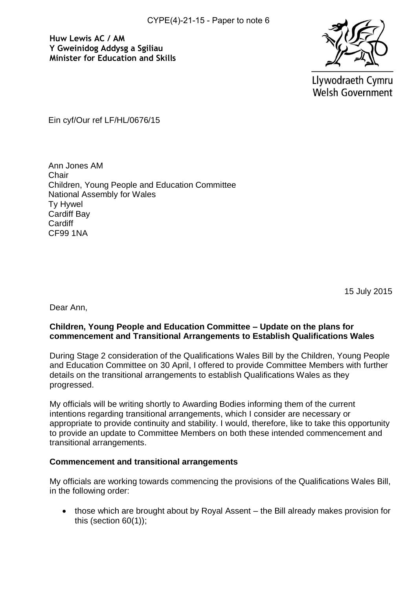**Huw Lewis AC / AM Y Gweinidog Addysg a Sgiliau Minister for Education and Skills**



Llywodraeth Cymru **Welsh Government** 

Ein cyf/Our ref LF/HL/0676/15

Ann Jones AM Chair Children, Young People and Education Committee National Assembly for Wales Ty Hywel Cardiff Bay **Cardiff** CF99 1NA

15 July 2015

Dear Ann,

## **Children, Young People and Education Committee – Update on the plans for commencement and Transitional Arrangements to Establish Qualifications Wales**

During Stage 2 consideration of the Qualifications Wales Bill by the Children, Young People and Education Committee on 30 April, I offered to provide Committee Members with further details on the transitional arrangements to establish Qualifications Wales as they progressed.

My officials will be writing shortly to Awarding Bodies informing them of the current intentions regarding transitional arrangements, which I consider are necessary or appropriate to provide continuity and stability. I would, therefore, like to take this opportunity to provide an update to Committee Members on both these intended commencement and transitional arrangements.

## **Commencement and transitional arrangements**

My officials are working towards commencing the provisions of the Qualifications Wales Bill, in the following order:

• those which are brought about by Royal Assent – the Bill already makes provision for this (section 60(1));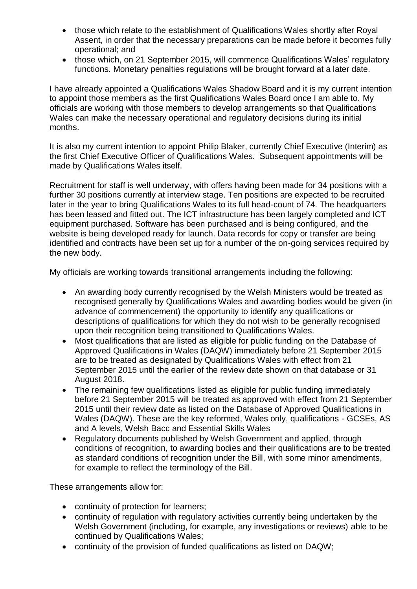- those which relate to the establishment of Qualifications Wales shortly after Royal Assent, in order that the necessary preparations can be made before it becomes fully operational; and
- those which, on 21 September 2015, will commence Qualifications Wales' regulatory functions. Monetary penalties regulations will be brought forward at a later date.

I have already appointed a Qualifications Wales Shadow Board and it is my current intention to appoint those members as the first Qualifications Wales Board once I am able to. My officials are working with those members to develop arrangements so that Qualifications Wales can make the necessary operational and regulatory decisions during its initial months.

It is also my current intention to appoint Philip Blaker, currently Chief Executive (Interim) as the first Chief Executive Officer of Qualifications Wales. Subsequent appointments will be made by Qualifications Wales itself.

Recruitment for staff is well underway, with offers having been made for 34 positions with a further 30 positions currently at interview stage. Ten positions are expected to be recruited later in the year to bring Qualifications Wales to its full head-count of 74. The headquarters has been leased and fitted out. The ICT infrastructure has been largely completed and ICT equipment purchased. Software has been purchased and is being configured, and the website is being developed ready for launch. Data records for copy or transfer are being identified and contracts have been set up for a number of the on-going services required by the new body.

My officials are working towards transitional arrangements including the following:

- An awarding body currently recognised by the Welsh Ministers would be treated as recognised generally by Qualifications Wales and awarding bodies would be given (in advance of commencement) the opportunity to identify any qualifications or descriptions of qualifications for which they do not wish to be generally recognised upon their recognition being transitioned to Qualifications Wales.
- Most qualifications that are listed as eligible for public funding on the Database of Approved Qualifications in Wales (DAQW) immediately before 21 September 2015 are to be treated as designated by Qualifications Wales with effect from 21 September 2015 until the earlier of the review date shown on that database or 31 August 2018.
- The remaining few qualifications listed as eligible for public funding immediately before 21 September 2015 will be treated as approved with effect from 21 September 2015 until their review date as listed on the Database of Approved Qualifications in Wales (DAQW). These are the key reformed, Wales only, qualifications - GCSEs, AS and A levels, Welsh Bacc and Essential Skills Wales
- Regulatory documents published by Welsh Government and applied, through conditions of recognition, to awarding bodies and their qualifications are to be treated as standard conditions of recognition under the Bill, with some minor amendments, for example to reflect the terminology of the Bill.

These arrangements allow for:

- continuity of protection for learners;
- continuity of regulation with regulatory activities currently being undertaken by the Welsh Government (including, for example, any investigations or reviews) able to be continued by Qualifications Wales;
- continuity of the provision of funded qualifications as listed on DAQW;